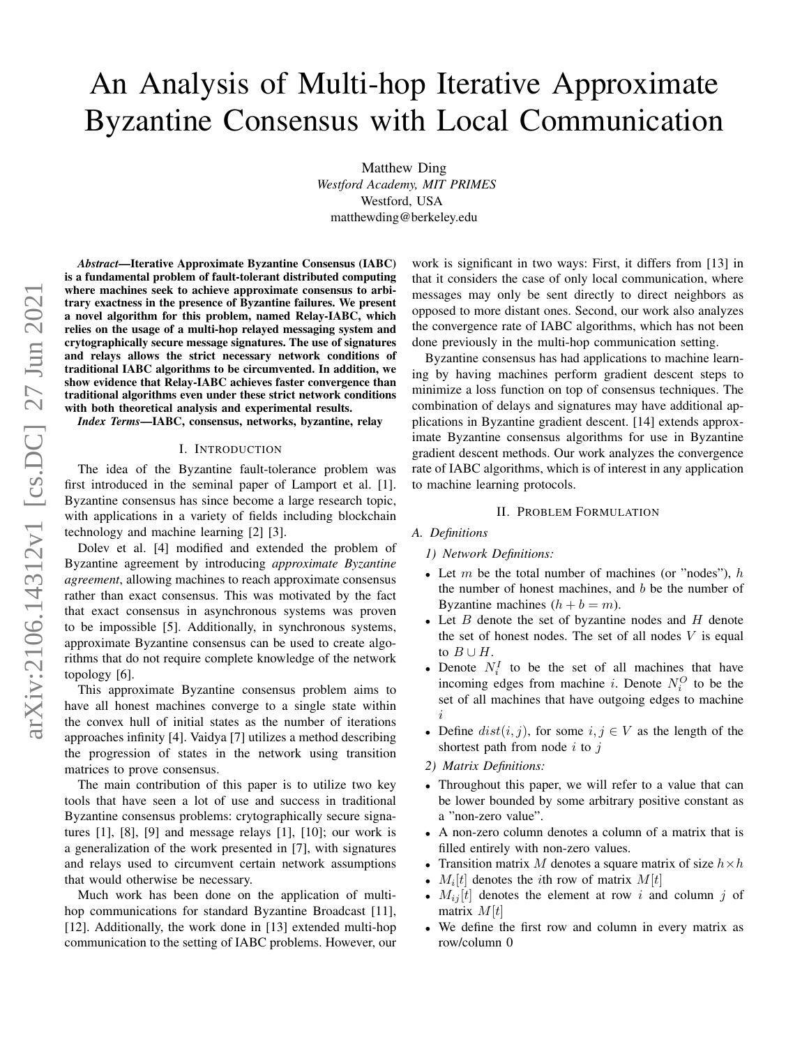# An Analysis of Multi-hop Iterative Approximate Byzantine Consensus with Local Communication

Matthew Ding *Westford Academy, MIT PRIMES* Westford, USA matthewding@berkeley.edu

*Abstract*—Iterative Approximate Byzantine Consensus (IABC) is a fundamental problem of fault-tolerant distributed computing where machines seek to achieve approximate consensus to arbitrary exactness in the presence of Byzantine failures. We present a novel algorithm for this problem, named Relay-IABC, which relies on the usage of a multi-hop relayed messaging system and crytographically secure message signatures. The use of signatures and relays allows the strict necessary network conditions of traditional IABC algorithms to be circumvented. In addition, we show evidence that Relay-IABC achieves faster convergence than traditional algorithms even under these strict network conditions with both theoretical analysis and experimental results.

*Index Terms*—IABC, consensus, networks, byzantine, relay

## I. INTRODUCTION

The idea of the Byzantine fault-tolerance problem was first introduced in the seminal paper of Lamport et al. [1]. Byzantine consensus has since become a large research topic, with applications in a variety of fields including blockchain technology and machine learning [2] [3].

Dolev et al. [4] modified and extended the problem of Byzantine agreement by introducing *approximate Byzantine agreement*, allowing machines to reach approximate consensus rather than exact consensus. This was motivated by the fact that exact consensus in asynchronous systems was proven to be impossible [5]. Additionally, in synchronous systems, approximate Byzantine consensus can be used to create algorithms that do not require complete knowledge of the network topology [6].

This approximate Byzantine consensus problem aims to have all honest machines converge to a single state within the convex hull of initial states as the number of iterations approaches infinity [4]. Vaidya [7] utilizes a method describing the progression of states in the network using transition matrices to prove consensus.

The main contribution of this paper is to utilize two key tools that have seen a lot of use and success in traditional Byzantine consensus problems: crytographically secure signatures [1], [8], [9] and message relays [1], [10]; our work is a generalization of the work presented in [7], with signatures and relays used to circumvent certain network assumptions that would otherwise be necessary.

Much work has been done on the application of multihop communications for standard Byzantine Broadcast [11], [12]. Additionally, the work done in [13] extended multi-hop communication to the setting of IABC problems. However, our work is significant in two ways: First, it differs from [13] in that it considers the case of only local communication, where messages may only be sent directly to direct neighbors as opposed to more distant ones. Second, our work also analyzes the convergence rate of IABC algorithms, which has not been done previously in the multi-hop communication setting.

Byzantine consensus has had applications to machine learning by having machines perform gradient descent steps to minimize a loss function on top of consensus techniques. The combination of delays and signatures may have additional applications in Byzantine gradient descent. [14] extends approximate Byzantine consensus algorithms for use in Byzantine gradient descent methods. Our work analyzes the convergence rate of IABC algorithms, which is of interest in any application to machine learning protocols.

## II. PROBLEM FORMULATION

## *A. Definitions*

- *1) Network Definitions:*
- Let  $m$  be the total number of machines (or "nodes"),  $h$ the number of honest machines, and  $b$  be the number of Byzantine machines  $(h + b = m)$ .
- Let  $B$  denote the set of byzantine nodes and  $H$  denote the set of honest nodes. The set of all nodes  $V$  is equal to  $B \cup H$ .
- Denote  $N_i^I$  to be the set of all machines that have incoming edges from machine *i*. Denote  $N_i^O$  to be the set of all machines that have outgoing edges to machine i
- Define  $dist(i, j)$ , for some  $i, j \in V$  as the length of the shortest path from node  $i$  to  $j$
- *2) Matrix Definitions:*
- Throughout this paper, we will refer to a value that can be lower bounded by some arbitrary positive constant as a "non-zero value".
- A non-zero column denotes a column of a matrix that is filled entirely with non-zero values.
- Transition matrix M denotes a square matrix of size  $h \times h$
- $M_i[t]$  denotes the *i*th row of matrix  $M[t]$
- $M_{ij}[t]$  denotes the element at row i and column j of matrix  $M[t]$
- We define the first row and column in every matrix as row/column 0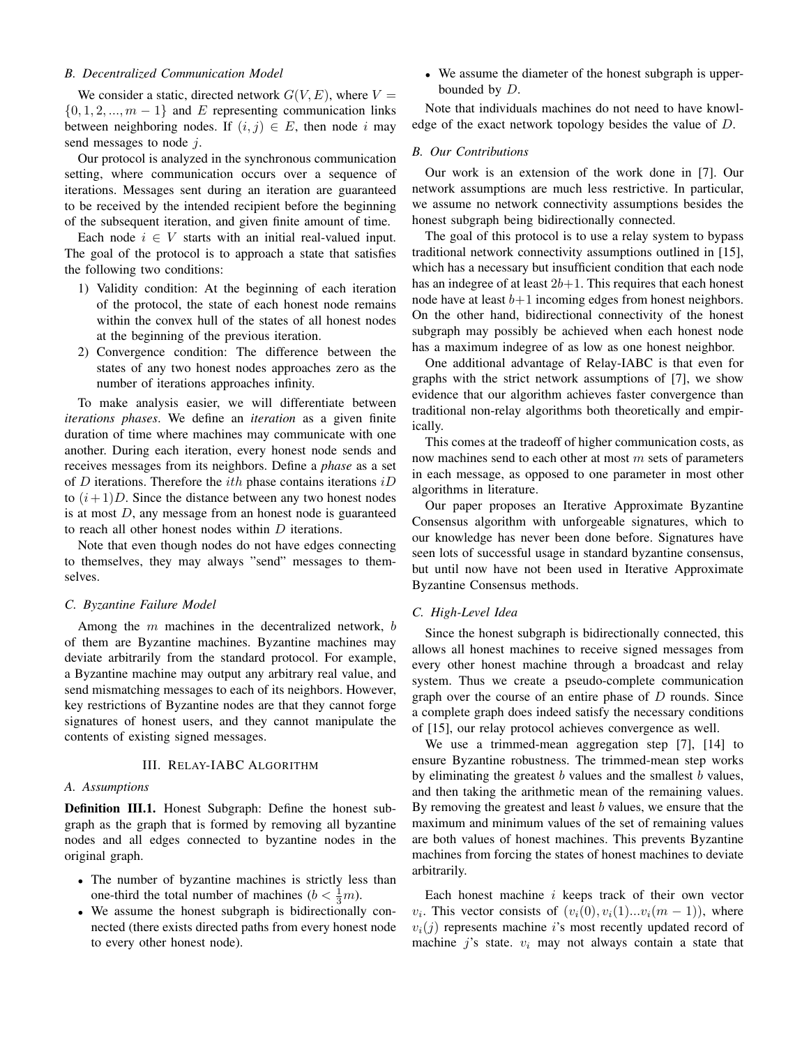# *B. Decentralized Communication Model*

We consider a static, directed network  $G(V, E)$ , where  $V =$  $\{0, 1, 2, ..., m - 1\}$  and E representing communication links between neighboring nodes. If  $(i, j) \in E$ , then node i may send messages to node  $i$ .

Our protocol is analyzed in the synchronous communication setting, where communication occurs over a sequence of iterations. Messages sent during an iteration are guaranteed to be received by the intended recipient before the beginning of the subsequent iteration, and given finite amount of time.

Each node  $i \in V$  starts with an initial real-valued input. The goal of the protocol is to approach a state that satisfies the following two conditions:

- 1) Validity condition: At the beginning of each iteration of the protocol, the state of each honest node remains within the convex hull of the states of all honest nodes at the beginning of the previous iteration.
- 2) Convergence condition: The difference between the states of any two honest nodes approaches zero as the number of iterations approaches infinity.

To make analysis easier, we will differentiate between *iterations phases*. We define an *iteration* as a given finite duration of time where machines may communicate with one another. During each iteration, every honest node sends and receives messages from its neighbors. Define a *phase* as a set of D iterations. Therefore the *ith* phase contains iterations  $iD$ to  $(i+1)D$ . Since the distance between any two honest nodes is at most D, any message from an honest node is guaranteed to reach all other honest nodes within D iterations.

Note that even though nodes do not have edges connecting to themselves, they may always "send" messages to themselves.

#### *C. Byzantine Failure Model*

Among the  $m$  machines in the decentralized network,  $b$ of them are Byzantine machines. Byzantine machines may deviate arbitrarily from the standard protocol. For example, a Byzantine machine may output any arbitrary real value, and send mismatching messages to each of its neighbors. However, key restrictions of Byzantine nodes are that they cannot forge signatures of honest users, and they cannot manipulate the contents of existing signed messages.

# III. RELAY-IABC ALGORITHM

# *A. Assumptions*

Definition III.1. Honest Subgraph: Define the honest subgraph as the graph that is formed by removing all byzantine nodes and all edges connected to byzantine nodes in the original graph.

- The number of byzantine machines is strictly less than one-third the total number of machines  $(b < \frac{1}{3}m)$ .
- We assume the honest subgraph is bidirectionally connected (there exists directed paths from every honest node to every other honest node).

• We assume the diameter of the honest subgraph is upperbounded by D.

Note that individuals machines do not need to have knowledge of the exact network topology besides the value of D.

# *B. Our Contributions*

Our work is an extension of the work done in [7]. Our network assumptions are much less restrictive. In particular, we assume no network connectivity assumptions besides the honest subgraph being bidirectionally connected.

The goal of this protocol is to use a relay system to bypass traditional network connectivity assumptions outlined in [15], which has a necessary but insufficient condition that each node has an indegree of at least  $2b+1$ . This requires that each honest node have at least  $b+1$  incoming edges from honest neighbors. On the other hand, bidirectional connectivity of the honest subgraph may possibly be achieved when each honest node has a maximum indegree of as low as one honest neighbor.

One additional advantage of Relay-IABC is that even for graphs with the strict network assumptions of [7], we show evidence that our algorithm achieves faster convergence than traditional non-relay algorithms both theoretically and empirically.

This comes at the tradeoff of higher communication costs, as now machines send to each other at most  $m$  sets of parameters in each message, as opposed to one parameter in most other algorithms in literature.

Our paper proposes an Iterative Approximate Byzantine Consensus algorithm with unforgeable signatures, which to our knowledge has never been done before. Signatures have seen lots of successful usage in standard byzantine consensus, but until now have not been used in Iterative Approximate Byzantine Consensus methods.

# *C. High-Level Idea*

Since the honest subgraph is bidirectionally connected, this allows all honest machines to receive signed messages from every other honest machine through a broadcast and relay system. Thus we create a pseudo-complete communication graph over the course of an entire phase of  $D$  rounds. Since a complete graph does indeed satisfy the necessary conditions of [15], our relay protocol achieves convergence as well.

We use a trimmed-mean aggregation step [7], [14] to ensure Byzantine robustness. The trimmed-mean step works by eliminating the greatest  $b$  values and the smallest  $b$  values, and then taking the arithmetic mean of the remaining values. By removing the greatest and least  $b$  values, we ensure that the maximum and minimum values of the set of remaining values are both values of honest machines. This prevents Byzantine machines from forcing the states of honest machines to deviate arbitrarily.

Each honest machine i keeps track of their own vector  $v_i$ . This vector consists of  $(v_i(0), v_i(1)...v_i(m-1))$ , where  $v_i(j)$  represents machine i's most recently updated record of machine j's state.  $v_i$  may not always contain a state that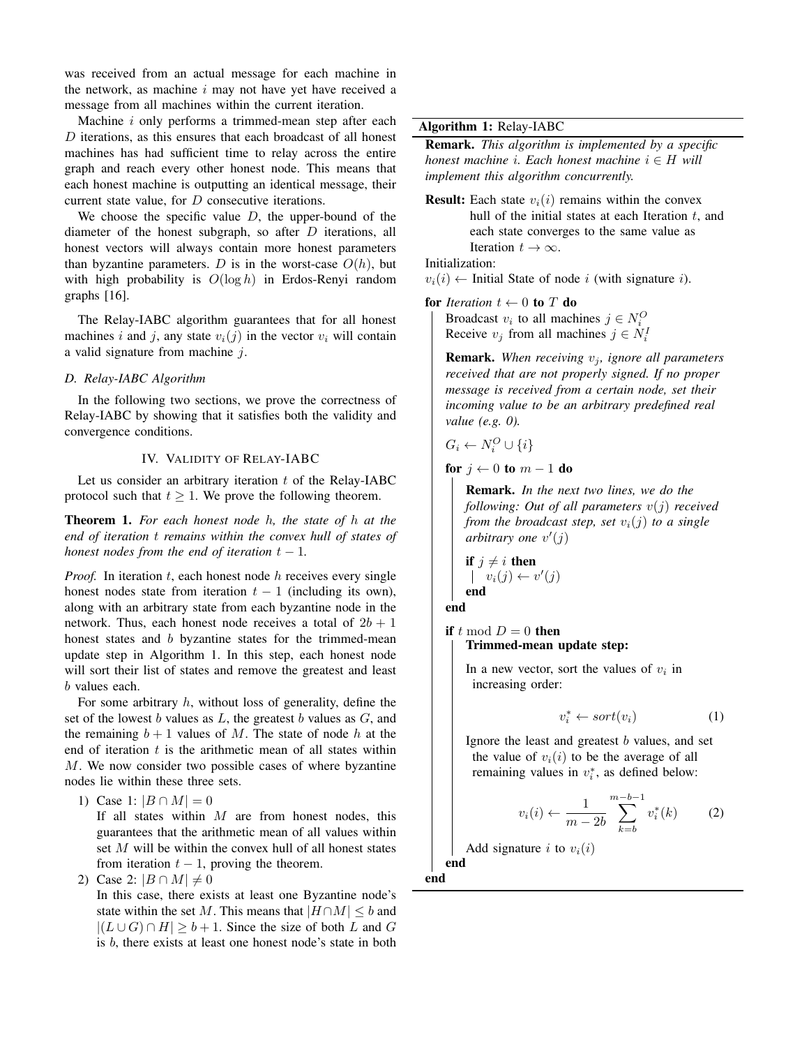was received from an actual message for each machine in the network, as machine  $i$  may not have yet have received a message from all machines within the current iteration.

Machine  $i$  only performs a trimmed-mean step after each  $D$  iterations, as this ensures that each broadcast of all honest machines has had sufficient time to relay across the entire graph and reach every other honest node. This means that each honest machine is outputting an identical message, their current state value, for D consecutive iterations.

We choose the specific value  $D$ , the upper-bound of the diameter of the honest subgraph, so after  $D$  iterations, all honest vectors will always contain more honest parameters than byzantine parameters. D is in the worst-case  $O(h)$ , but with high probability is  $O(\log h)$  in Erdos-Renyi random graphs [16].

The Relay-IABC algorithm guarantees that for all honest machines i and j, any state  $v_i(j)$  in the vector  $v_i$  will contain a valid signature from machine j.

# *D. Relay-IABC Algorithm*

In the following two sections, we prove the correctness of Relay-IABC by showing that it satisfies both the validity and convergence conditions.

# IV. VALIDITY OF RELAY-IABC

Let us consider an arbitrary iteration  $t$  of the Relay-IABC protocol such that  $t \geq 1$ . We prove the following theorem.

Theorem 1. *For each honest node* h*, the state of* h *at the end of iteration* t *remains within the convex hull of states of honest nodes from the end of iteration*  $t - 1$ *.* 

*Proof.* In iteration  $t$ , each honest node  $h$  receives every single honest nodes state from iteration  $t - 1$  (including its own), along with an arbitrary state from each byzantine node in the network. Thus, each honest node receives a total of  $2b + 1$ honest states and b byzantine states for the trimmed-mean update step in Algorithm 1. In this step, each honest node will sort their list of states and remove the greatest and least b values each.

For some arbitrary  $h$ , without loss of generality, define the set of the lowest b values as  $L$ , the greatest b values as  $G$ , and the remaining  $b + 1$  values of M. The state of node h at the end of iteration  $t$  is the arithmetic mean of all states within M. We now consider two possible cases of where byzantine nodes lie within these three sets.

1) Case 1:  $|B \cap M| = 0$ 

If all states within  $M$  are from honest nodes, this guarantees that the arithmetic mean of all values within set M will be within the convex hull of all honest states from iteration  $t - 1$ , proving the theorem.

2) Case 2:  $|B \cap M| \neq 0$ 

In this case, there exists at least one Byzantine node's state within the set M. This means that  $|H \cap M| \leq b$  and  $|(L \cup G) \cap H| \geq b+1$ . Since the size of both L and G is b, there exists at least one honest node's state in both

# Algorithm 1: Relay-IABC

Remark. *This algorithm is implemented by a specific honest machine i. Each honest machine*  $i \in H$  *will implement this algorithm concurrently.*

**Result:** Each state  $v_i(i)$  remains within the convex hull of the initial states at each Iteration  $t$ , and each state converges to the same value as Iteration  $t \to \infty$ .

Initialization:

 $v_i(i) \leftarrow$  Initial State of node i (with signature i).

for *Iteration*  $t \leftarrow 0$  to T do

Broadcast  $v_i$  to all machines  $j \in N_i^O$ Receive  $v_j$  from all machines  $j \in N_i^I$ 

**Remark.** When receiving  $v_j$ , ignore all parameters *received that are not properly signed. If no proper message is received from a certain node, set their incoming value to be an arbitrary predefined real value (e.g. 0).*

$$
G_i \leftarrow N_i^O \cup \{i\}
$$

for  $j \leftarrow 0$  to  $m - 1$  do

Remark. *In the next two lines, we do the following: Out of all parameters* v(j) *received from the broadcast step, set*  $v_i(j)$  *to a single* arbitrary one  $v'(j)$ 

$$
\begin{array}{l}\n\textbf{if } j \neq i \textbf{ then} \\
\mid v_i(j) \leftarrow v'(j) \\
\textbf{end}\n\end{array}
$$

end

if t mod  $D = 0$  then Trimmed-mean update step:

> In a new vector, sort the values of  $v_i$  in increasing order:

$$
v_i^* \leftarrow sort(v_i) \tag{1}
$$

Ignore the least and greatest  $b$  values, and set the value of  $v_i(i)$  to be the average of all remaining values in  $v_i^*$ , as defined below:

$$
v_i(i) \leftarrow \frac{1}{m-2b} \sum_{k=b}^{m-b-1} v_i^*(k) \tag{2}
$$

Add signature i to  $v_i(i)$ end

end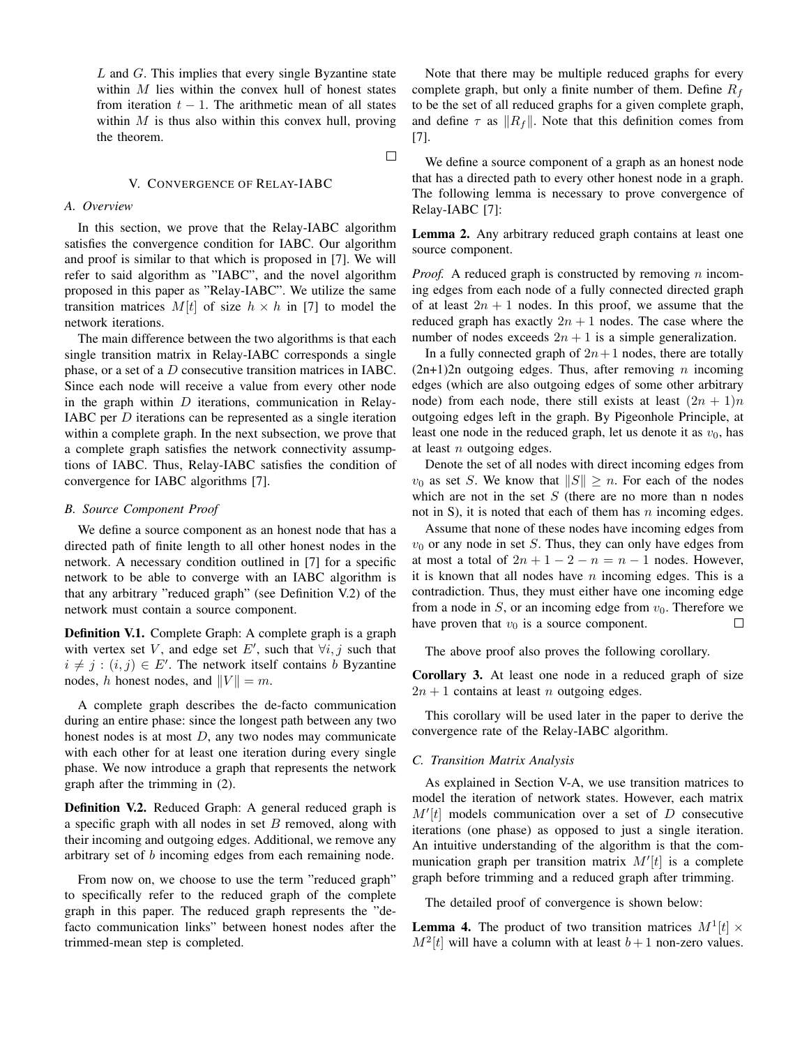$L$  and  $G$ . This implies that every single Byzantine state within  $M$  lies within the convex hull of honest states from iteration  $t - 1$ . The arithmetic mean of all states within  $M$  is thus also within this convex hull, proving the theorem.

 $\Box$ 

## V. CONVERGENCE OF RELAY-IABC

# *A. Overview*

In this section, we prove that the Relay-IABC algorithm satisfies the convergence condition for IABC. Our algorithm and proof is similar to that which is proposed in [7]. We will refer to said algorithm as "IABC", and the novel algorithm proposed in this paper as "Relay-IABC". We utilize the same transition matrices  $M[t]$  of size  $h \times h$  in [7] to model the network iterations.

The main difference between the two algorithms is that each single transition matrix in Relay-IABC corresponds a single phase, or a set of a D consecutive transition matrices in IABC. Since each node will receive a value from every other node in the graph within  $D$  iterations, communication in Relay-IABC per D iterations can be represented as a single iteration within a complete graph. In the next subsection, we prove that a complete graph satisfies the network connectivity assumptions of IABC. Thus, Relay-IABC satisfies the condition of convergence for IABC algorithms [7].

## *B. Source Component Proof*

We define a source component as an honest node that has a directed path of finite length to all other honest nodes in the network. A necessary condition outlined in [7] for a specific network to be able to converge with an IABC algorithm is that any arbitrary "reduced graph" (see Definition V.2) of the network must contain a source component.

Definition V.1. Complete Graph: A complete graph is a graph with vertex set V, and edge set E', such that  $\forall i, j$  such that  $i \neq j : (i, j) \in E'$ . The network itself contains b Byzantine nodes, h honest nodes, and  $||V|| = m$ .

A complete graph describes the de-facto communication during an entire phase: since the longest path between any two honest nodes is at most  $D$ , any two nodes may communicate with each other for at least one iteration during every single phase. We now introduce a graph that represents the network graph after the trimming in (2).

Definition V.2. Reduced Graph: A general reduced graph is a specific graph with all nodes in set  $B$  removed, along with their incoming and outgoing edges. Additional, we remove any arbitrary set of b incoming edges from each remaining node.

From now on, we choose to use the term "reduced graph" to specifically refer to the reduced graph of the complete graph in this paper. The reduced graph represents the "defacto communication links" between honest nodes after the trimmed-mean step is completed.

Note that there may be multiple reduced graphs for every complete graph, but only a finite number of them. Define  $R_f$ to be the set of all reduced graphs for a given complete graph, and define  $\tau$  as  $||R_f||$ . Note that this definition comes from [7].

We define a source component of a graph as an honest node that has a directed path to every other honest node in a graph. The following lemma is necessary to prove convergence of Relay-IABC [7]:

Lemma 2. Any arbitrary reduced graph contains at least one source component.

*Proof.* A reduced graph is constructed by removing *n* incoming edges from each node of a fully connected directed graph of at least  $2n + 1$  nodes. In this proof, we assume that the reduced graph has exactly  $2n + 1$  nodes. The case where the number of nodes exceeds  $2n + 1$  is a simple generalization.

In a fully connected graph of  $2n+1$  nodes, there are totally  $(2n+1)2n$  outgoing edges. Thus, after removing *n* incoming edges (which are also outgoing edges of some other arbitrary node) from each node, there still exists at least  $(2n + 1)n$ outgoing edges left in the graph. By Pigeonhole Principle, at least one node in the reduced graph, let us denote it as  $v_0$ , has at least  $n$  outgoing edges.

Denote the set of all nodes with direct incoming edges from  $v_0$  as set S. We know that  $||S|| \ge n$ . For each of the nodes which are not in the set  $S$  (there are no more than n nodes not in S), it is noted that each of them has  $n$  incoming edges.

Assume that none of these nodes have incoming edges from  $v_0$  or any node in set S. Thus, they can only have edges from at most a total of  $2n + 1 - 2 - n = n - 1$  nodes. However, it is known that all nodes have  $n$  incoming edges. This is a contradiction. Thus, they must either have one incoming edge from a node in  $S$ , or an incoming edge from  $v_0$ . Therefore we have proven that  $v_0$  is a source component.  $\Box$ 

The above proof also proves the following corollary.

Corollary 3. At least one node in a reduced graph of size  $2n + 1$  contains at least *n* outgoing edges.

This corollary will be used later in the paper to derive the convergence rate of the Relay-IABC algorithm.

### *C. Transition Matrix Analysis*

As explained in Section V-A, we use transition matrices to model the iteration of network states. However, each matrix  $M'[t]$  models communication over a set of  $D$  consecutive iterations (one phase) as opposed to just a single iteration. An intuitive understanding of the algorithm is that the communication graph per transition matrix  $M'[t]$  is a complete graph before trimming and a reduced graph after trimming.

The detailed proof of convergence is shown below:

**Lemma 4.** The product of two transition matrices  $M^1[t] \times$  $M^2[t]$  will have a column with at least  $b+1$  non-zero values.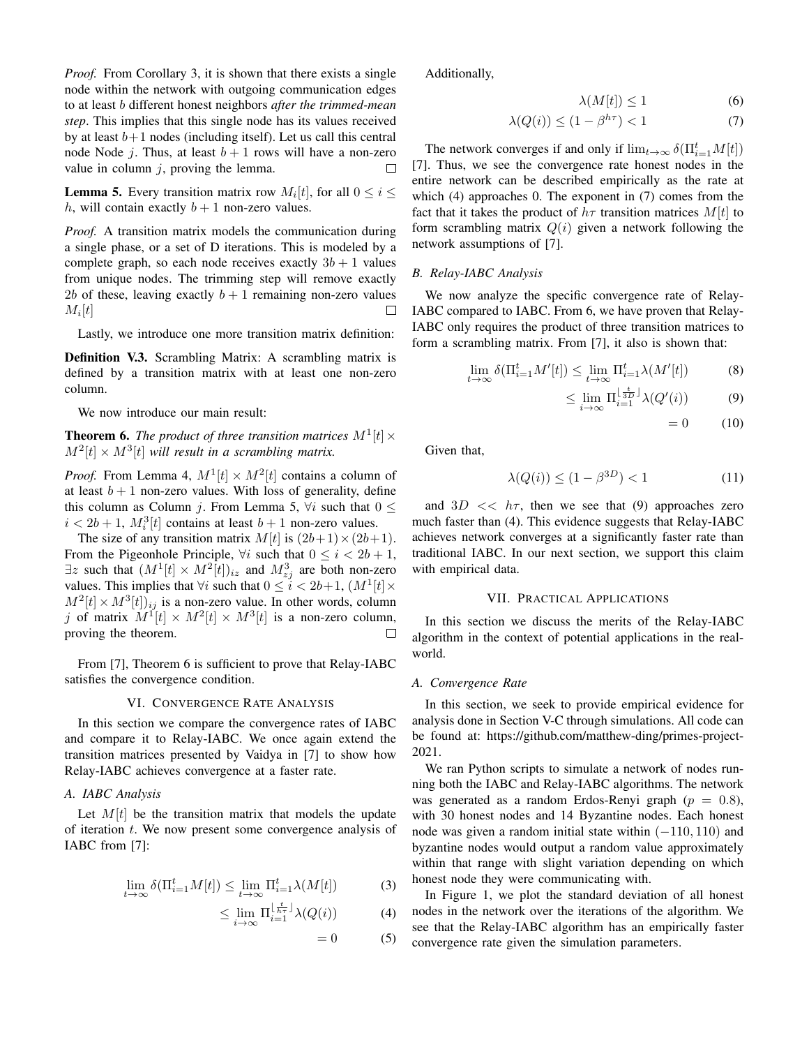*Proof.* From Corollary 3, it is shown that there exists a single node within the network with outgoing communication edges to at least b different honest neighbors *after the trimmed-mean step*. This implies that this single node has its values received by at least  $b+1$  nodes (including itself). Let us call this central node Node j. Thus, at least  $b + 1$  rows will have a non-zero value in column  $j$ , proving the lemma.  $\Box$ 

**Lemma 5.** Every transition matrix row  $M_i[t]$ , for all  $0 \le i \le$ h, will contain exactly  $b + 1$  non-zero values.

*Proof.* A transition matrix models the communication during a single phase, or a set of D iterations. This is modeled by a complete graph, so each node receives exactly  $3b + 1$  values from unique nodes. The trimming step will remove exactly 2b of these, leaving exactly  $b + 1$  remaining non-zero values  $M_i[t]$  $\Box$ 

Lastly, we introduce one more transition matrix definition:

Definition V.3. Scrambling Matrix: A scrambling matrix is defined by a transition matrix with at least one non-zero column.

We now introduce our main result:

**Theorem 6.** The product of three transition matrices  $M^1[t] \times$  $M^2[t] \times M^3[t]$  will result in a scrambling matrix.

*Proof.* From Lemma 4,  $M^1[t] \times M^2[t]$  contains a column of at least  $b + 1$  non-zero values. With loss of generality, define this column as Column j. From Lemma 5,  $\forall i$  such that  $0 \leq$  $i < 2b+1$ ,  $M_i^3[t]$  contains at least  $b+1$  non-zero values.

The size of any transition matrix  $M[t]$  is  $(2b+1) \times (2b+1)$ . From the Pigeonhole Principle,  $\forall i$  such that  $0 \leq i < 2b + 1$ ,  $\exists z$  such that  $(M^1[t] \times M^2[t])_{iz}$  and  $M^3_{zj}$  are both non-zero values. This implies that  $\forall i$  such that  $0 \leq i < 2b+1$ ,  $(M^1[t] \times$  $M^2[t] \times M^3[t])_{ij}$  is a non-zero value. In other words, column j of matrix  $M^1[t] \times M^2[t] \times M^3[t]$  is a non-zero column, proving the theorem.  $\Box$ 

From [7], Theorem 6 is sufficient to prove that Relay-IABC satisfies the convergence condition.

#### VI. CONVERGENCE RATE ANALYSIS

In this section we compare the convergence rates of IABC and compare it to Relay-IABC. We once again extend the transition matrices presented by Vaidya in [7] to show how Relay-IABC achieves convergence at a faster rate.

# *A. IABC Analysis*

Let  $M[t]$  be the transition matrix that models the update of iteration  $t$ . We now present some convergence analysis of IABC from [7]:

$$
\lim_{t \to \infty} \delta(\Pi_{i=1}^t M[t]) \le \lim_{t \to \infty} \Pi_{i=1}^t \lambda(M[t]) \tag{3}
$$

$$
\leq \lim_{i \to \infty} \Pi_{i=1}^{\left\lfloor \frac{t}{h\tau} \right\rfloor} \lambda(Q(i)) \tag{4}
$$

$$
= 0 \tag{5}
$$

Additionally,

$$
\lambda(M[t]) \le 1\tag{6}
$$

$$
\lambda(Q(i)) \le (1 - \beta^{h\tau}) < 1\tag{7}
$$

The network converges if and only if  $\lim_{t\to\infty} \delta(\Pi_{i=1}^t M[t])$ [7]. Thus, we see the convergence rate honest nodes in the entire network can be described empirically as the rate at which (4) approaches 0. The exponent in (7) comes from the fact that it takes the product of  $h\tau$  transition matrices  $M[t]$  to form scrambling matrix  $Q(i)$  given a network following the network assumptions of [7].

## *B. Relay-IABC Analysis*

We now analyze the specific convergence rate of Relay-IABC compared to IABC. From 6, we have proven that Relay-IABC only requires the product of three transition matrices to form a scrambling matrix. From [7], it also is shown that:

$$
\lim_{t \to \infty} \delta(\Pi_{i=1}^t M'[t]) \le \lim_{t \to \infty} \Pi_{i=1}^t \lambda(M'[t])
$$
 (8)

$$
\leq \lim_{i \to \infty} \Pi_{i=1}^{\lfloor \frac{t}{3D} \rfloor} \lambda(Q'(i)) \tag{9}
$$

$$
= 0 \qquad (10)
$$

Given that,

$$
\lambda(Q(i)) \le (1 - \beta^{3D}) < 1\tag{11}
$$

and  $3D \ll h\tau$ , then we see that (9) approaches zero much faster than (4). This evidence suggests that Relay-IABC achieves network converges at a significantly faster rate than traditional IABC. In our next section, we support this claim with empirical data.

## VII. PRACTICAL APPLICATIONS

In this section we discuss the merits of the Relay-IABC algorithm in the context of potential applications in the realworld.

## *A. Convergence Rate*

In this section, we seek to provide empirical evidence for analysis done in Section V-C through simulations. All code can be found at: https://github.com/matthew-ding/primes-project-2021.

We ran Python scripts to simulate a network of nodes running both the IABC and Relay-IABC algorithms. The network was generated as a random Erdos-Renyi graph ( $p = 0.8$ ), with 30 honest nodes and 14 Byzantine nodes. Each honest node was given a random initial state within  $(-110, 110)$  and byzantine nodes would output a random value approximately within that range with slight variation depending on which honest node they were communicating with.

In Figure 1, we plot the standard deviation of all honest nodes in the network over the iterations of the algorithm. We see that the Relay-IABC algorithm has an empirically faster convergence rate given the simulation parameters.